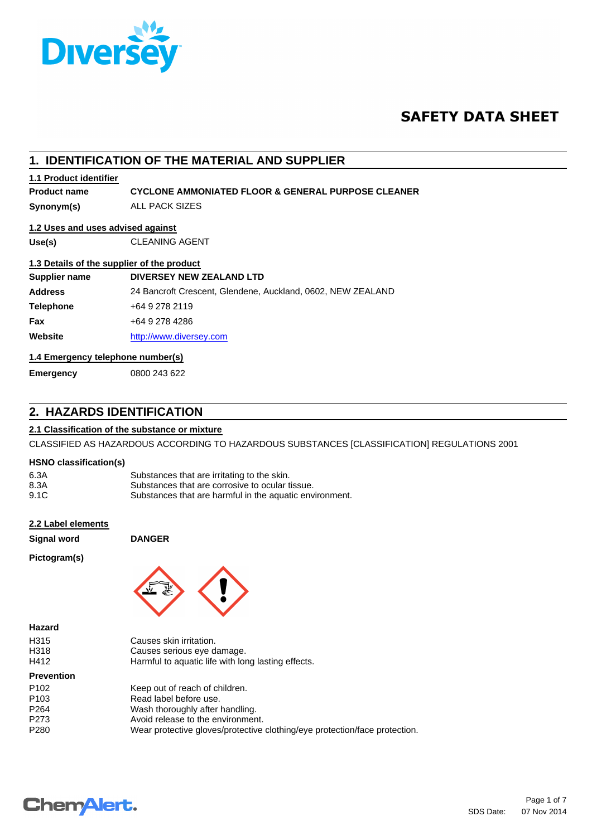

# **SAFETY DATA SHEET**

|                                   | 1. IDENTIFICATION OF THE MATERIAL AND SUPPLIER                |  |
|-----------------------------------|---------------------------------------------------------------|--|
| 1.1 Product identifier            |                                                               |  |
| <b>Product name</b>               | <b>CYCLONE AMMONIATED FLOOR &amp; GENERAL PURPOSE CLEANER</b> |  |
| Synonym(s)                        | ALL PACK SIZES                                                |  |
| 1.2 Uses and uses advised against |                                                               |  |
| Use(s)                            | <b>CLEANING AGENT</b>                                         |  |
|                                   | 1.3 Details of the supplier of the product                    |  |
| Supplier name                     | DIVERSEY NEW ZEALAND LTD                                      |  |
| <b>Address</b>                    | 24 Bancroft Crescent, Glendene, Auckland, 0602, NEW ZEALAND   |  |
| <b>Telephone</b>                  | +64 9 278 2119                                                |  |
| Fax                               | +64 9 278 4286                                                |  |
| Website                           | http://www.diversey.com                                       |  |
| 1.4 Emergency telephone number(s) |                                                               |  |
| <b>Emergency</b>                  | 0800 243 622                                                  |  |

# **2. HAZARDS IDENTIFICATION**

## **2.1 Classification of the substance or mixture**

CLASSIFIED AS HAZARDOUS ACCORDING TO HAZARDOUS SUBSTANCES [CLASSIFICATION] REGULATIONS 2001

## **HSNO classification(s)**

| 6.3A | Substances that are irritating to the skin.             |
|------|---------------------------------------------------------|
| 8.3A | Substances that are corrosive to ocular tissue.         |
| 9.1C | Substances that are harmful in the aquatic environment. |

## **2.2 Label elements**

**Signal word DANGER**

## **Pictogram(s)**

**Hazard**



| H315              | Causes skin irritation.                                                    |
|-------------------|----------------------------------------------------------------------------|
| H318              | Causes serious eye damage.                                                 |
| H412              | Harmful to aquatic life with long lasting effects.                         |
| <b>Prevention</b> |                                                                            |
| P <sub>102</sub>  | Keep out of reach of children.                                             |
| P <sub>103</sub>  | Read label before use.                                                     |
| P <sub>264</sub>  | Wash thoroughly after handling.                                            |
| P273              | Avoid release to the environment.                                          |
| P280              | Wear protective gloves/protective clothing/eye protection/face protection. |
|                   |                                                                            |

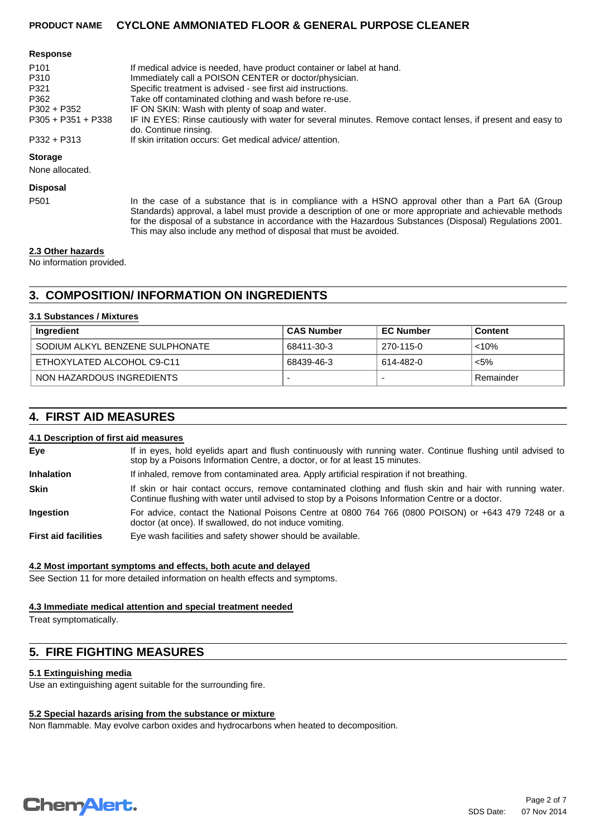#### **Response**

| If medical advice is needed, have product container or label at hand.                                                               |
|-------------------------------------------------------------------------------------------------------------------------------------|
| Immediately call a POISON CENTER or doctor/physician.                                                                               |
| Specific treatment is advised - see first aid instructions.                                                                         |
| Take off contaminated clothing and wash before re-use.                                                                              |
| IF ON SKIN: Wash with plenty of soap and water.                                                                                     |
| IF IN EYES: Rinse cautiously with water for several minutes. Remove contact lenses, if present and easy to<br>do. Continue rinsing. |
| If skin irritation occurs: Get medical advice/attention.                                                                            |
|                                                                                                                                     |

## **Storage**

None allocated.

#### **Disposal**

P501 In the case of a substance that is in compliance with a HSNO approval other than a Part 6A (Group Standards) approval, a label must provide a description of one or more appropriate and achievable methods for the disposal of a substance in accordance with the Hazardous Substances (Disposal) Regulations 2001. This may also include any method of disposal that must be avoided.

#### **2.3 Other hazards**

No information provided.

# **3. COMPOSITION/ INFORMATION ON INGREDIENTS**

#### **3.1 Substances / Mixtures**

| Ingredient                      | <b>CAS Number</b> | <b>EC Number</b> | <b>Content</b> |
|---------------------------------|-------------------|------------------|----------------|
| SODIUM ALKYL BENZENE SULPHONATE | 68411-30-3        | 270-115-0        | $< 10\%$       |
| ETHOXYLATED ALCOHOL C9-C11      | 68439-46-3        | 614-482-0        | $< 5\%$        |
| NON HAZARDOUS INGREDIENTS       |                   |                  | Remainder      |

## **4. FIRST AID MEASURES**

## **4.1 Description of first aid measures**

| Eve                         | If in eyes, hold eyelids apart and flush continuously with running water. Continue flushing until advised to<br>stop by a Poisons Information Centre, a doctor, or for at least 15 minutes.                 |
|-----------------------------|-------------------------------------------------------------------------------------------------------------------------------------------------------------------------------------------------------------|
| <b>Inhalation</b>           | If inhaled, remove from contaminated area. Apply artificial respiration if not breathing.                                                                                                                   |
| <b>Skin</b>                 | If skin or hair contact occurs, remove contaminated clothing and flush skin and hair with running water.<br>Continue flushing with water until advised to stop by a Poisons Information Centre or a doctor. |
| <b>Ingestion</b>            | For advice, contact the National Poisons Centre at 0800 764 766 (0800 POISON) or +643 479 7248 or a<br>doctor (at once). If swallowed, do not induce vomiting.                                              |
| <b>First aid facilities</b> | Eye wash facilities and safety shower should be available.                                                                                                                                                  |

## **4.2 Most important symptoms and effects, both acute and delayed**

See Section 11 for more detailed information on health effects and symptoms.

## **4.3 Immediate medical attention and special treatment needed**

Treat symptomatically.

# **5. FIRE FIGHTING MEASURES**

## **5.1 Extinguishing media**

Use an extinguishing agent suitable for the surrounding fire.

## **5.2 Special hazards arising from the substance or mixture**

Non flammable. May evolve carbon oxides and hydrocarbons when heated to decomposition.

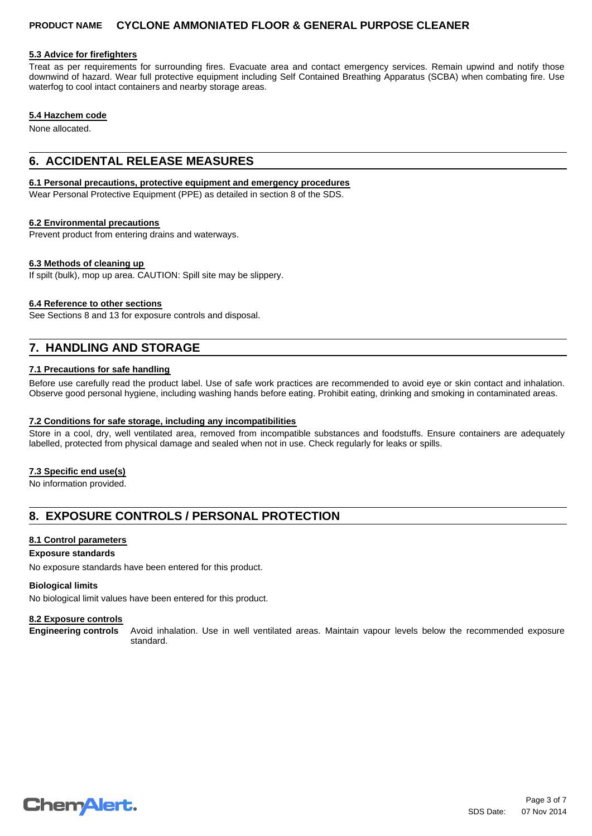## **5.3 Advice for firefighters**

Treat as per requirements for surrounding fires. Evacuate area and contact emergency services. Remain upwind and notify those downwind of hazard. Wear full protective equipment including Self Contained Breathing Apparatus (SCBA) when combating fire. Use waterfog to cool intact containers and nearby storage areas.

## **5.4 Hazchem code**

None allocated.

## **6. ACCIDENTAL RELEASE MEASURES**

#### **6.1 Personal precautions, protective equipment and emergency procedures**

Wear Personal Protective Equipment (PPE) as detailed in section 8 of the SDS.

## **6.2 Environmental precautions**

Prevent product from entering drains and waterways.

## **6.3 Methods of cleaning up**

If spilt (bulk), mop up area. CAUTION: Spill site may be slippery.

## **6.4 Reference to other sections**

See Sections 8 and 13 for exposure controls and disposal.

# **7. HANDLING AND STORAGE**

## **7.1 Precautions for safe handling**

Before use carefully read the product label. Use of safe work practices are recommended to avoid eye or skin contact and inhalation. Observe good personal hygiene, including washing hands before eating. Prohibit eating, drinking and smoking in contaminated areas.

## **7.2 Conditions for safe storage, including any incompatibilities**

Store in a cool, dry, well ventilated area, removed from incompatible substances and foodstuffs. Ensure containers are adequately labelled, protected from physical damage and sealed when not in use. Check regularly for leaks or spills.

## **7.3 Specific end use(s)**

No information provided.

## **8. EXPOSURE CONTROLS / PERSONAL PROTECTION**

## **8.1 Control parameters**

**Exposure standards**

No exposure standards have been entered for this product.

## **Biological limits**

No biological limit values have been entered for this product.

## **8.2 Exposure controls**

**Engineering controls** Avoid inhalation. Use in well ventilated areas. Maintain vapour levels below the recommended exposure standard.

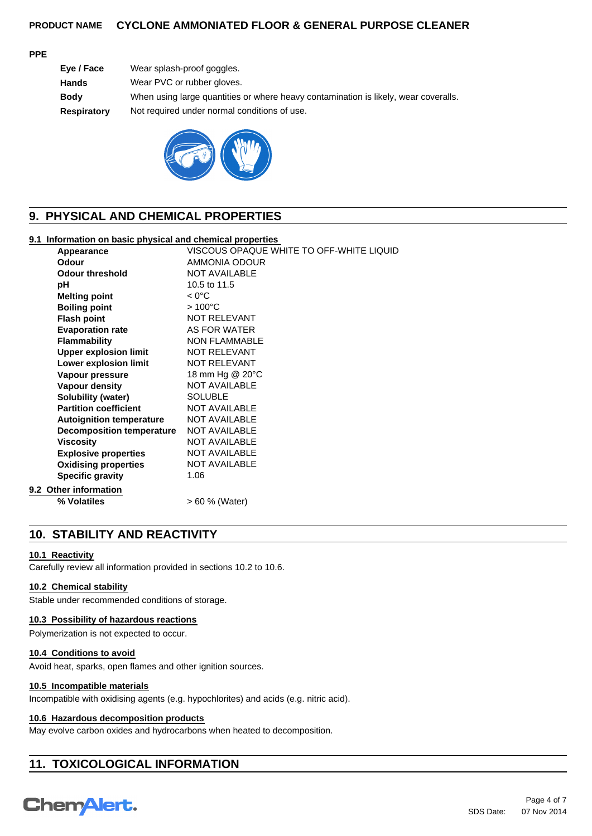## **PPE**

| Wear splash-proof goggles.                                                          |
|-------------------------------------------------------------------------------------|
| Wear PVC or rubber gloves.                                                          |
| When using large quantities or where heavy contamination is likely, wear coveralls. |
| Not required under normal conditions of use.                                        |
|                                                                                     |



# **9. PHYSICAL AND CHEMICAL PROPERTIES**

## **9.1 Information on basic physical and chemical properties**

| Appearance                       | VISCOUS OPAQUE WHITE TO OFF-WHITE LIQUID |
|----------------------------------|------------------------------------------|
| Odour                            | AMMONIA ODOUR                            |
| <b>Odour threshold</b>           | <b>NOT AVAILABLE</b>                     |
| рH                               | 10.5 to 11.5                             |
| <b>Melting point</b>             | $< 0^{\circ}$ C                          |
| <b>Boiling point</b>             | $>100^{\circ}$ C                         |
| <b>Flash point</b>               | NOT RELEVANT                             |
| <b>Evaporation rate</b>          | AS FOR WATER                             |
| <b>Flammability</b>              | <b>NON FLAMMABLE</b>                     |
| <b>Upper explosion limit</b>     | <b>NOT RELEVANT</b>                      |
| Lower explosion limit            | <b>NOT RELEVANT</b>                      |
| Vapour pressure                  | 18 mm Hg @ 20°C                          |
| <b>Vapour density</b>            | <b>NOT AVAILABLE</b>                     |
| <b>Solubility (water)</b>        | <b>SOLUBLE</b>                           |
| <b>Partition coefficient</b>     | <b>NOT AVAILABLE</b>                     |
| <b>Autoignition temperature</b>  | <b>NOT AVAILABLE</b>                     |
| <b>Decomposition temperature</b> | <b>NOT AVAILABLE</b>                     |
| <b>Viscosity</b>                 | <b>NOT AVAILABLE</b>                     |
| <b>Explosive properties</b>      | <b>NOT AVAILABLE</b>                     |
| <b>Oxidising properties</b>      | <b>NOT AVAILABLE</b>                     |
| <b>Specific gravity</b>          | 1.06                                     |
| 9.2 Other information            |                                          |
| % Volatiles                      | > 60 % (Water)                           |
|                                  |                                          |

## **10. STABILITY AND REACTIVITY**

## **10.1 Reactivity**

Carefully review all information provided in sections 10.2 to 10.6.

## **10.2 Chemical stability**

Stable under recommended conditions of storage.

## **10.3 Possibility of hazardous reactions**

Polymerization is not expected to occur.

## **10.4 Conditions to avoid**

Avoid heat, sparks, open flames and other ignition sources.

## **10.5 Incompatible materials**

Incompatible with oxidising agents (e.g. hypochlorites) and acids (e.g. nitric acid).

## **10.6 Hazardous decomposition products**

May evolve carbon oxides and hydrocarbons when heated to decomposition.

# **11. TOXICOLOGICAL INFORMATION**

# **Chemalert.**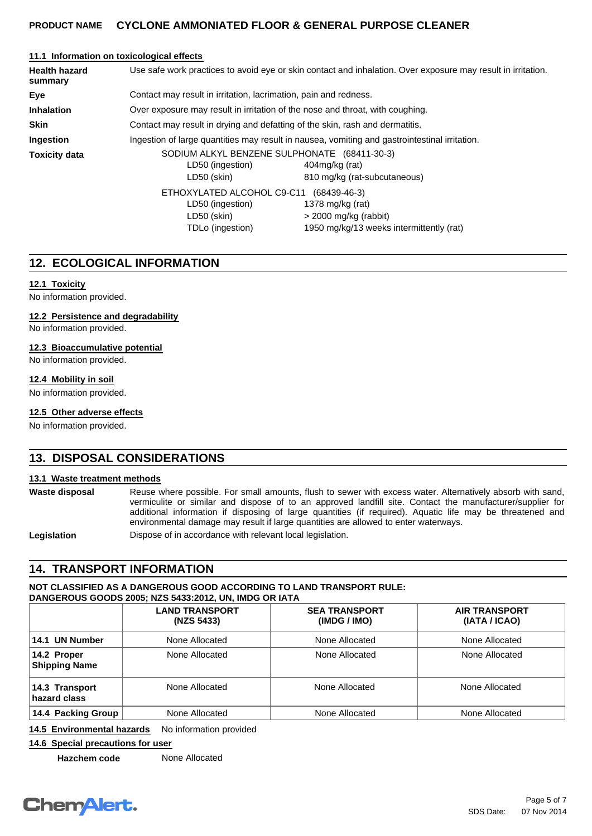## **11.1 Information on toxicological effects**

| <b>Health hazard</b><br>summary | Use safe work practices to avoid eye or skin contact and inhalation. Over exposure may result in irritation. |                                                                                                |  |
|---------------------------------|--------------------------------------------------------------------------------------------------------------|------------------------------------------------------------------------------------------------|--|
| Eye                             | Contact may result in irritation, lacrimation, pain and redness.                                             |                                                                                                |  |
| <b>Inhalation</b>               | Over exposure may result in irritation of the nose and throat, with coughing.                                |                                                                                                |  |
| <b>Skin</b>                     | Contact may result in drying and defatting of the skin, rash and dermatitis.                                 |                                                                                                |  |
| Ingestion                       | Ingestion of large quantities may result in nausea, vomiting and gastrointestinal irritation.                |                                                                                                |  |
| <b>Toxicity data</b>            | LD50 (ingestion)<br>LD50 (skin)                                                                              | SODIUM ALKYL BENZENE SULPHONATE (68411-30-3)<br>404mg/kg (rat)<br>810 mg/kg (rat-subcutaneous) |  |
|                                 | ETHOXYLATED ALCOHOL C9-C11<br>(68439-46-3)                                                                   |                                                                                                |  |
|                                 | LD50 (ingestion)<br>LD50 (skin)<br>TDLo (ingestion)                                                          | 1378 mg/kg (rat)<br>$>$ 2000 mg/kg (rabbit)<br>1950 mg/kg/13 weeks intermittently (rat)        |  |

## **12. ECOLOGICAL INFORMATION**

## **12.1 Toxicity**

No information provided.

#### **12.2 Persistence and degradability**

No information provided.

#### **12.3 Bioaccumulative potential**

No information provided.

#### **12.4 Mobility in soil**

No information provided.

## **12.5 Other adverse effects**

No information provided.

## **13. DISPOSAL CONSIDERATIONS**

## **13.1 Waste treatment methods**

Waste disposal Reuse where possible. For small amounts, flush to sewer with excess water. Alternatively absorb with sand, vermiculite or similar and dispose of to an approved landfill site. Contact the manufacturer/supplier for additional information if disposing of large quantities (if required). Aquatic life may be threatened and environmental damage may result if large quantities are allowed to enter waterways.

Legislation **Dispose of in accordance with relevant local legislation.** 

## **14. TRANSPORT INFORMATION**

## **NOT CLASSIFIED AS A DANGEROUS GOOD ACCORDING TO LAND TRANSPORT RULE: DANGEROUS GOODS 2005; NZS 5433:2012, UN, IMDG OR IATA**

|                                     | <b>LAND TRANSPORT</b><br>(NZS 5433) | <b>SEA TRANSPORT</b><br>(IMDG / IMO) | <b>AIR TRANSPORT</b><br>(IATA / ICAO) |
|-------------------------------------|-------------------------------------|--------------------------------------|---------------------------------------|
| 14.1 UN Number                      | None Allocated                      | None Allocated                       | None Allocated                        |
| 14.2 Proper<br><b>Shipping Name</b> | None Allocated                      | None Allocated                       | None Allocated                        |
| 14.3 Transport<br>hazard class      | None Allocated                      | None Allocated                       | None Allocated                        |
| 14.4 Packing Group                  | None Allocated                      | None Allocated                       | None Allocated                        |

**14.5 Environmental hazards** No information provided

## **14.6 Special precautions for user**

**Hazchem code** None Allocated

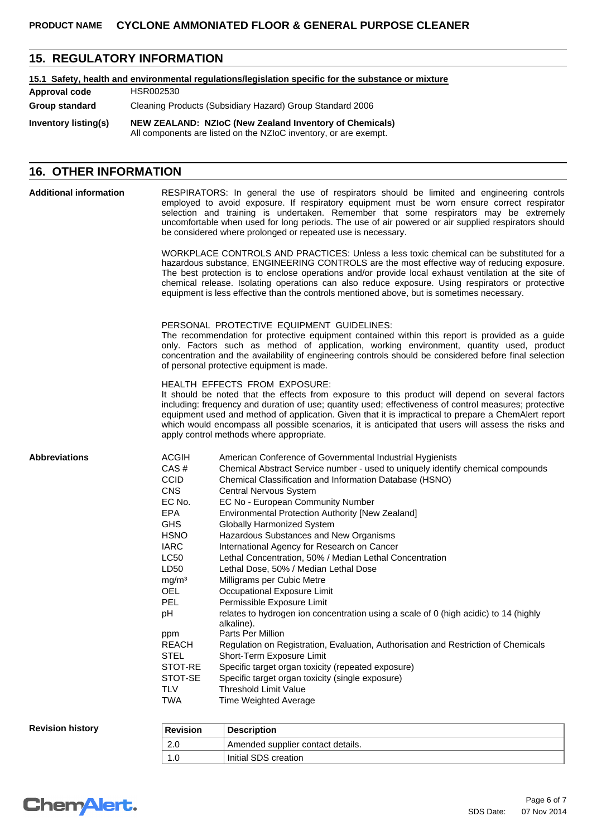# **15. REGULATORY INFORMATION**

## **15.1 Safety, health and environmental regulations/legislation specific for the substance or mixture**

| Inventory listing(s) | NEW ZEALAND: NZIoC (New Zealand Inventory of Chemicals)<br>All components are listed on the NZIoC inventory, or are exempt. |
|----------------------|-----------------------------------------------------------------------------------------------------------------------------|
| Group standard       | Cleaning Products (Subsidiary Hazard) Group Standard 2006                                                                   |
| Approval code        | HSR002530                                                                                                                   |

# **16. OTHER INFORMATION**

| <b>Additional information</b> |                                                                                                                                                                                                                                                                                             | RESPIRATORS: In general the use of respirators should be limited and engineering controls<br>employed to avoid exposure. If respiratory equipment must be worn ensure correct respirator<br>selection and training is undertaken. Remember that some respirators may be extremely<br>uncomfortable when used for long periods. The use of air powered or air supplied respirators should<br>be considered where prolonged or repeated use is necessary.                                                                                                                                                                                                                                                                                                                                                                                                                                                                                                                                                                                                           |
|-------------------------------|---------------------------------------------------------------------------------------------------------------------------------------------------------------------------------------------------------------------------------------------------------------------------------------------|-------------------------------------------------------------------------------------------------------------------------------------------------------------------------------------------------------------------------------------------------------------------------------------------------------------------------------------------------------------------------------------------------------------------------------------------------------------------------------------------------------------------------------------------------------------------------------------------------------------------------------------------------------------------------------------------------------------------------------------------------------------------------------------------------------------------------------------------------------------------------------------------------------------------------------------------------------------------------------------------------------------------------------------------------------------------|
|                               |                                                                                                                                                                                                                                                                                             | WORKPLACE CONTROLS AND PRACTICES: Unless a less toxic chemical can be substituted for a<br>hazardous substance, ENGINEERING CONTROLS are the most effective way of reducing exposure.<br>The best protection is to enclose operations and/or provide local exhaust ventilation at the site of<br>chemical release. Isolating operations can also reduce exposure. Using respirators or protective<br>equipment is less effective than the controls mentioned above, but is sometimes necessary.                                                                                                                                                                                                                                                                                                                                                                                                                                                                                                                                                                   |
|                               |                                                                                                                                                                                                                                                                                             | PERSONAL PROTECTIVE EQUIPMENT GUIDELINES:<br>The recommendation for protective equipment contained within this report is provided as a guide<br>only. Factors such as method of application, working environment, quantity used, product<br>concentration and the availability of engineering controls should be considered before final selection<br>of personal protective equipment is made.                                                                                                                                                                                                                                                                                                                                                                                                                                                                                                                                                                                                                                                                   |
|                               |                                                                                                                                                                                                                                                                                             | HEALTH EFFECTS FROM EXPOSURE:<br>It should be noted that the effects from exposure to this product will depend on several factors<br>including: frequency and duration of use; quantity used; effectiveness of control measures; protective<br>equipment used and method of application. Given that it is impractical to prepare a ChemAlert report<br>which would encompass all possible scenarios, it is anticipated that users will assess the risks and<br>apply control methods where appropriate.                                                                                                                                                                                                                                                                                                                                                                                                                                                                                                                                                           |
| <b>Abbreviations</b>          | <b>ACGIH</b><br>CAS#<br><b>CCID</b><br><b>CNS</b><br>EC No.<br><b>EPA</b><br><b>GHS</b><br><b>HSNO</b><br><b>IARC</b><br><b>LC50</b><br>LD50<br>mg/m <sup>3</sup><br><b>OEL</b><br><b>PEL</b><br>pH<br>ppm<br><b>REACH</b><br><b>STEL</b><br>STOT-RE<br>STOT-SE<br><b>TLV</b><br><b>TWA</b> | American Conference of Governmental Industrial Hygienists<br>Chemical Abstract Service number - used to uniquely identify chemical compounds<br>Chemical Classification and Information Database (HSNO)<br>Central Nervous System<br>EC No - European Community Number<br>Environmental Protection Authority [New Zealand]<br>Globally Harmonized System<br>Hazardous Substances and New Organisms<br>International Agency for Research on Cancer<br>Lethal Concentration, 50% / Median Lethal Concentration<br>Lethal Dose, 50% / Median Lethal Dose<br>Milligrams per Cubic Metre<br>Occupational Exposure Limit<br>Permissible Exposure Limit<br>relates to hydrogen ion concentration using a scale of 0 (high acidic) to 14 (highly<br>alkaline).<br>Parts Per Million<br>Regulation on Registration, Evaluation, Authorisation and Restriction of Chemicals<br>Short-Term Exposure Limit<br>Specific target organ toxicity (repeated exposure)<br>Specific target organ toxicity (single exposure)<br><b>Threshold Limit Value</b><br>Time Weighted Average |
| <b>Revision history</b>       | <b>Revision</b>                                                                                                                                                                                                                                                                             | <b>Description</b>                                                                                                                                                                                                                                                                                                                                                                                                                                                                                                                                                                                                                                                                                                                                                                                                                                                                                                                                                                                                                                                |